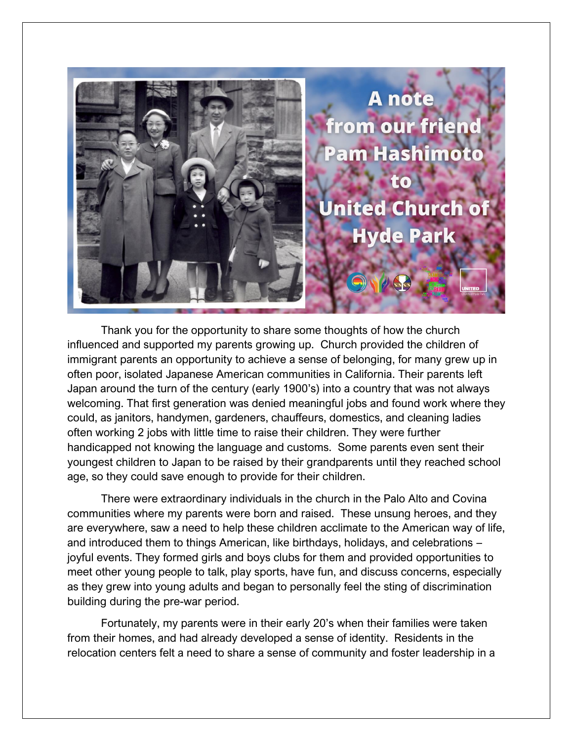

Thank you for the opportunity to share some thoughts of how the church influenced and supported my parents growing up. Church provided the children of immigrant parents an opportunity to achieve a sense of belonging, for many grew up in often poor, isolated Japanese American communities in California. Their parents left Japan around the turn of the century (early 1900's) into a country that was not always welcoming. That first generation was denied meaningful jobs and found work where they could, as janitors, handymen, gardeners, chauffeurs, domestics, and cleaning ladies often working 2 jobs with little time to raise their children. They were further handicapped not knowing the language and customs. Some parents even sent their youngest children to Japan to be raised by their grandparents until they reached school age, so they could save enough to provide for their children.

There were extraordinary individuals in the church in the Palo Alto and Covina communities where my parents were born and raised. These unsung heroes, and they are everywhere, saw a need to help these children acclimate to the American way of life, and introduced them to things American, like birthdays, holidays, and celebrations – joyful events. They formed girls and boys clubs for them and provided opportunities to meet other young people to talk, play sports, have fun, and discuss concerns, especially as they grew into young adults and began to personally feel the sting of discrimination building during the pre-war period.

Fortunately, my parents were in their early 20's when their families were taken from their homes, and had already developed a sense of identity. Residents in the relocation centers felt a need to share a sense of community and foster leadership in a